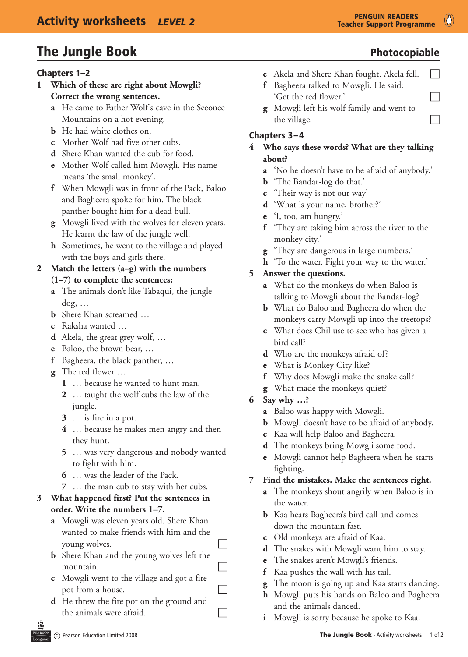# The Jungle Book and the Second Photocopiable

#### Chapters 1–2

- **1 Which of these are right about Mowgli? Correct the wrong sentences.**
	- **a** He came to Father Wolf's cave in the Seeonee Mountains on a hot evening.
	- **b** He had white clothes on.
	- **c** Mother Wolf had five other cubs.
	- **d** Shere Khan wanted the cub for food.
	- **e** Mother Wolf called him Mowgli. His name means 'the small monkey'.
	- **f** When Mowgli was in front of the Pack, Baloo and Bagheera spoke for him. The black panther bought him for a dead bull.
	- **g** Mowgli lived with the wolves for eleven years. He learnt the law of the jungle well.
	- **h** Sometimes, he went to the village and played with the boys and girls there.

#### **2 Match the letters (a–g) with the numbers (1–7) to complete the sentences:**

- **a** The animals don't like Tabaqui, the jungle dog, …
- **b** Shere Khan screamed ...
- **c** Raksha wanted …
- **d** Akela, the great grey wolf, ...
- **e** Baloo, the brown bear, ...
- **f** Bagheera, the black panther, ...
- **g** The red flower ...
	- **1** … because he wanted to hunt man.
	- **2** … taught the wolf cubs the law of the jungle.
	- **3** … is fire in a pot.
	- **4** … because he makes men angry and then they hunt.
	- **5** … was very dangerous and nobody wanted to fight with him.
	- **6** … was the leader of the Pack.
	- **7** … the man cub to stay with her cubs.

#### **3 What happened first? Put the sentences in order. Write the numbers 1–7.**

- **a** Mowgli was eleven years old. Shere Khan wanted to make friends with him and the young wolves.
- **b** Shere Khan and the young wolves left the mountain.
- **c**  Mowgli went to the village and got a fire  $\Box$  pot from a house.
- **d** He threw the fire pot on the ground and the animals were afraid.
- **e** Akela and Shere Khan fought. Akela fell.  $\Box$
- **f** Bagheera talked to Mowgli. He said: 'Get the red flower.'
- **g** Mowgli left his wolf family and went to the village.

### Chapters 3–4

#### **4 Who says these words? What are they talking about?**

- **a** 'No he doesn't have to be afraid of anybody.'
- **b** 'The Bandar-log do that.'
- **c** 'Their way is not our way'
- **d** 'What is your name, brother?'
- **e** 'I, too, am hungry.'
- **f** 'They are taking him across the river to the monkey city.'
- **g** 'They are dangerous in large numbers.'
- **h** 'To the water. Fight your way to the water.'

#### **5 Answer the questions.**

- **a** What do the monkeys do when Baloo is talking to Mowgli about the Bandar-log?
- **b** What do Baloo and Bagheera do when the monkeys carry Mowgli up into the treetops?
- **c** What does Chil use to see who has given a bird call?
- **d** Who are the monkeys afraid of?
- **e** What is Monkey City like?
- **f** Why does Mowgli make the snake call?
- **g** What made the monkeys quiet?
- **6 Say why …?**
	- **a** Baloo was happy with Mowgli.
	- **b** Mowgli doesn't have to be afraid of anybody.
	- **c** Kaa will help Baloo and Bagheera.
	- **d** The monkeys bring Mowgli some food.
	- **e** Mowgli cannot help Bagheera when he starts fighting.

#### **7 Find the mistakes. Make the sentences right.**

- **a** The monkeys shout angrily when Baloo is in the water.
- **b** Kaa hears Bagheera's bird call and comes down the mountain fast.
- **c** Old monkeys are afraid of Kaa.
- **d** The snakes with Mowgli want him to stay.
- **e** The snakes aren't Mowgli's friends.
- **f** Kaa pushes the wall with his tail.
- **g** The moon is going up and Kaa starts dancing.
- **h** Mowgli puts his hands on Baloo and Bagheera and the animals danced.
- **i** Mowgli is sorry because he spoke to Kaa.

 $\circ$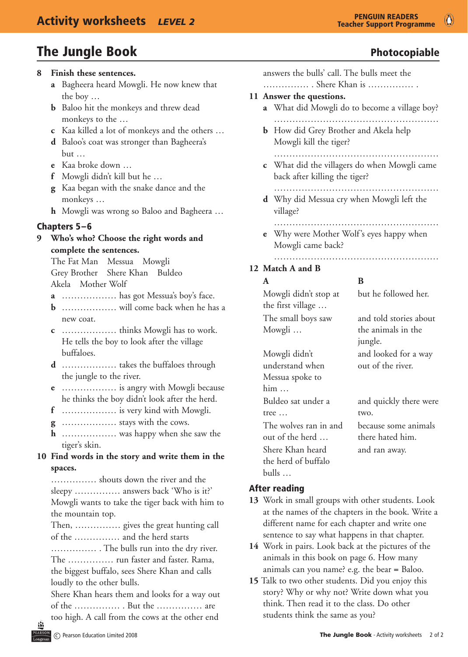# The Jungle Book and the Second Photocopiable

#### **8 Finish these sentences.**

- **a** Bagheera heard Mowgli. He now knew that the boy …
- **b** Baloo hit the monkeys and threw dead monkeys to the …
- **c** Kaa killed a lot of monkeys and the others …
- **d** Baloo's coat was stronger than Bagheera's but …
- **e** Kaa broke down …
- **f** Mowgli didn't kill but he ...
- **g** Kaa began with the snake dance and the monkeys …
- **h** Mowgli was wrong so Baloo and Bagheera ...

#### Chapters 5–6

#### **9 Who's who? Choose the right words and complete the sentences.**

 The Fat Man Messua Mowgli Grey Brother Shere Khan Buldeo Akela Mother Wolf

- **a** ……………… has got Messua's boy's face.
- **b** ……………… will come back when he has a new coat.
- **c** ……………… thinks Mowgli has to work. He tells the boy to look after the village buffaloes.
- **d** ……………… takes the buffaloes through the jungle to the river.
- **e** ……………… is angry with Mowgli because he thinks the boy didn't look after the herd.
- **f** ……………… is very kind with Mowgli.
- **g** ……………… stays with the cows.
- **h** ……………… was happy when she saw the tiger's skin.

### **10 Find words in the story and write them in the spaces.**

 …………… shouts down the river and the sleepy …………… answers back 'Who is it?' Mowgli wants to take the tiger back with him to the mountain top.

 Then, …………… gives the great hunting call of the …………… and the herd starts

…………… . The bulls run into the dry river. The …………… run faster and faster. Rama, the biggest buffalo, sees Shere Khan and calls loudly to the other bulls.

 Shere Khan hears them and looks for a way out of the …………… . But the …………… are too high. A call from the cows at the other end

 $\bullet$ 

answers the bulls' call. The bulls meet the …………… . Shere Khan is …………… . **11 Answer the questions. a** What did Mowgli do to become a village boy? ……………………………………………… **b** How did Grey Brother and Akela help Mowgli kill the tiger? ……………………………………………… **c** What did the villagers do when Mowgli came

- back after killing the tiger? ………………………………………………
- **d** Why did Messua cry when Mowgli left the village?
	- ………………………………………………
- **e** Why were Mother Wolf's eyes happy when Mowgli came back?

#### ……………………………………………… **12 Match A and B**

Mowgli didn't understand when

him …

tree …

Mowgli didn't stop at the first village … The small boys saw Mowgli …

## **A B**

but he followed her.

and told stories about the animals in the jungle. and looked for a way out of the river.

Messua spoke to Buldeo sat under a two. The wolves ran in and out of the herd … Shere Khan heard the herd of buffalo

# and quickly there were because some animals there hated him. and ran away.

### After reading

bulls …

- **13**  Work in small groups with other students. Look at the names of the chapters in the book. Write a different name for each chapter and write one sentence to say what happens in that chapter.
- **14**  Work in pairs. Look back at the pictures of the animals in this book on page 6. How many animals can you name? e.g. the bear = Baloo.
- **15** Talk to two other students. Did you enjoy this story? Why or why not? Write down what you think. Then read it to the class. Do other students think the same as you?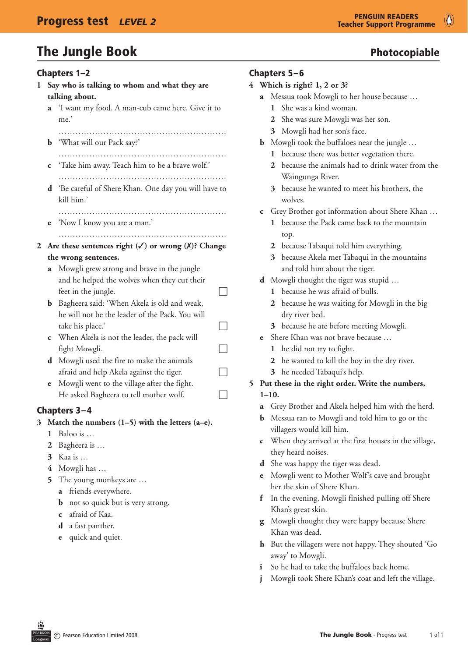# The Jungle Book and the Second Photocopiable

#### Chapters 1–2

- **1 Say who is talking to whom and what they are talking about.**
	- **a** 'I want my food. A man-cub came here. Give it to me.'
		- ……………………………………………………
	- **b** 'What will our Pack say?'
	- …………………………………………………… **c** 'Take him away. Teach him to be a brave wolf.'
	- ……………………………………………………
	- **d** 'Be careful of Shere Khan. One day you will have to kill him.' ……………………………………………………
	- **e** 'Now I know you are a man.'
		- ……………………………………………………
- **2 Are these sentences right (**3**) or wrong (**7**)? Change the wrong sentences.**
	- **a** Mowgli grew strong and brave in the jungle and he helped the wolves when they cut their feet in the jungle.  $\Box$
	- **b** Bagheera said: 'When Akela is old and weak, he will not be the leader of the Pack. You will  $\Box$  take his place.'  $\Box$
	- **c** When Akela is not the leader, the pack will  $fight Mowgli.$
	- **d** Mowgli used the fire to make the animals afraid and help Akela against the tiger.  $\Box$
	- **e** Mowgli went to the village after the fight. He asked Bagheera to tell mother wolf.  $\Box$

# Chapters 3–4

- **3 Match the numbers (1–5) with the letters (a–e).**
	- **1** Baloo is …
	- **2** Bagheera is …
	- **3** Kaa is …
	- **4** Mowgli has …
	- **5** The young monkeys are …
		- **a** friends everywhere.
		- **b** not so quick but is very strong.
		- **c** afraid of Kaa.
		- **d** a fast panther.
		- **e** quick and quiet.

### Chapters 5–6

- **4 Which is right? 1, 2 or 3?**
	- **a** Messua took Mowgli to her house because …
		- **1** She was a kind woman.
		- **2** She was sure Mowgli was her son.
		- **3** Mowgli had her son's face.
	- **b** Mowgli took the buffaloes near the jungle ...
		- **1** because there was better vegetation there.
		- **2** because the animals had to drink water from the Waingunga River.
		- **3** because he wanted to meet his brothers, the wolves.
	- **c** Grey Brother got information about Shere Khan …
		- **1** because the Pack came back to the mountain top.
		- **2** because Tabaqui told him everything.
		- **3** because Akela met Tabaqui in the mountains and told him about the tiger.
	- **d** Mowgli thought the tiger was stupid ...
		- **1** because he was afraid of bulls.
		- **2** because he was waiting for Mowgli in the big dry river bed.
		- **3** because he ate before meeting Mowgli.
	- **e** Shere Khan was not brave because ...
		- **1** he did not try to fight.
		- **2** he wanted to kill the boy in the dry river.
		- **3** he needed Tabaqui's help.

#### **5 Put these in the right order. Write the numbers, 1–10.**

- **a** Grey Brother and Akela helped him with the herd.
- **b** Messua ran to Mowgli and told him to go or the villagers would kill him.
- **c** When they arrived at the first houses in the village, they heard noises.
- **d** She was happy the tiger was dead.
- **e** Mowgli went to Mother Wolf's cave and brought her the skin of Shere Khan.
- **f** In the evening, Mowgli finished pulling off Shere Khan's great skin.
- **g** Mowgli thought they were happy because Shere Khan was dead.
- **h** But the villagers were not happy. They shouted 'Go away' to Mowgli.
- So he had to take the buffaloes back home.
- Mowgli took Shere Khan's coat and left the village.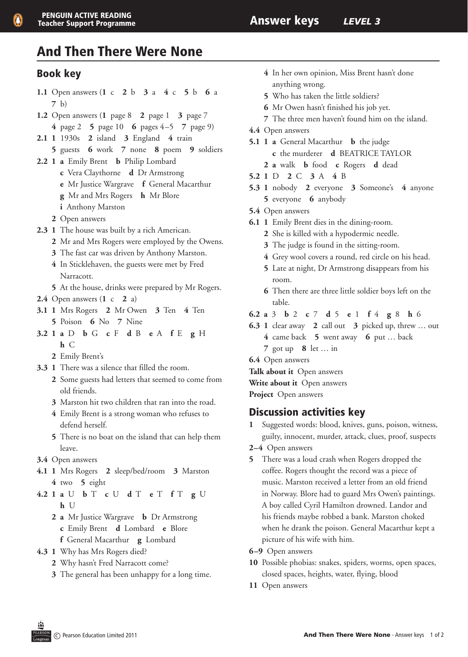# And Then There Were None

## Book key

- **1.1** Open answers (**1** c **2** b **3** a **4** c **5** b **6** a **7** b) **1.2** Open answers (**1** page 8 **2** page 1 **3** page 7 **4** page 2 **5** page 10 **6** pages 4–5 **7** page 9)
- **2.1 1** 1930s **2** island **3** England **4** train
- **5** guests **6** work **7** none **8** poem **9** soldiers
- **2.2 1 a** Emily Brent **b** Philip Lombard **c** Vera Claythorne **d** Dr Armstrong **e** Mr Justice Wargrave **f** General Macarthur **g** Mr and Mrs Rogers **h** Mr Blore
	- **i** Anthony Marston
	- **2** Open answers
- **2.3 1** The house was built by a rich American.
	- **2** Mr and Mrs Rogers were employed by the Owens.
	- **3** The fast car was driven by Anthony Marston.
	- **4** In Sticklehaven, the guests were met by Fred Narracott.
	- **5** At the house, drinks were prepared by Mr Rogers.
- **2.4** Open answers (**1** c **2** a)
- **3.1 1** Mrs Rogers **2** Mr Owen **3** Ten **4** Ten **5** Poison **6** No **7** Nine
- **3.2 1 a** D **b** G **c** F **d** B **e** A **f** E **g** H **h** C
	- **2** Emily Brent's
- **3.3 1** There was a silence that filled the room.
	- **2** Some guests had letters that seemed to come from old friends.
	- **3** Marston hit two children that ran into the road.
	- **4** Emily Brent is a strong woman who refuses to defend herself.
	- **5** There is no boat on the island that can help them leave.
- **3.4** Open answers
- **4.1 1** Mrs Rogers **2** sleep/bed/room **3** Marston **4** two **5** eight
- **4.2 1 a** U **b** T **c** U **d** T **e** T **f** T **g** U **h** U
	- **2 a** Mr Justice Wargrave **b** Dr Armstrong **c** Emily Brent **d** Lombard **e** Blore **f** General Macarthur **g** Lombard
- **4.3 1** Why has Mrs Rogers died?
	- **2** Why hasn't Fred Narracott come?
	- **3** The general has been unhappy for a long time.
- **4** In her own opinion, Miss Brent hasn't done anything wrong.
- **5** Who has taken the little soldiers?
- **6** Mr Owen hasn't finished his job yet.
- **7** The three men haven't found him on the island.
- **4.4** Open answers
- **5.1 1 a** General Macarthur **b** the judge **c** the murderer **d** BEATRICE TAYLOR
	- **2 a** walk **b** food **c** Rogers **d** dead
- **5.2 1** D **2** C **3** A **4** B
- **5.3 1** nobody **2** everyone **3** Someone's **4** anyone **5** everyone **6** anybody
- **5.4** Open answers
- **6.1 1** Emily Brent dies in the dining-room.
	- **2** She is killed with a hypodermic needle.
	- **3** The judge is found in the sitting-room.
	- **4** Grey wool covers a round, red circle on his head. **5** Late at night, Dr Armstrong disappears from his
	- room. **6** Then there are three little soldier boys left on the table.
- **6.2 a** 3 **b** 2 **c** 7 **d** 5 **e** 1 **f** 4 **g** 8 **h** 6
- **6.3 1** clear away **2** call out **3** picked up, threw … out **4** came back **5** went away **6** put … back
	- **7** got up **8** let … in
- **6.4** Open answers
- **Talk about it** Open answers
- **Write about it** Open answers

**Project** Open answers

## Discussion activities key

- **1** Suggested words: blood, knives, guns, poison, witness, guilty, innocent, murder, attack, clues, proof, suspects
- **2–4** Open answers
- **5** There was a loud crash when Rogers dropped the coffee. Rogers thought the record was a piece of music. Marston received a letter from an old friend in Norway. Blore had to guard Mrs Owen's paintings. A boy called Cyril Hamilton drowned. Landor and his friends maybe robbed a bank. Marston choked when he drank the poison. General Macarthur kept a picture of his wife with him.
- **6–9** Open answers
- **10** Possible phobias: snakes, spiders, worms, open spaces, closed spaces, heights, water, flying, blood
- **11** Open answers